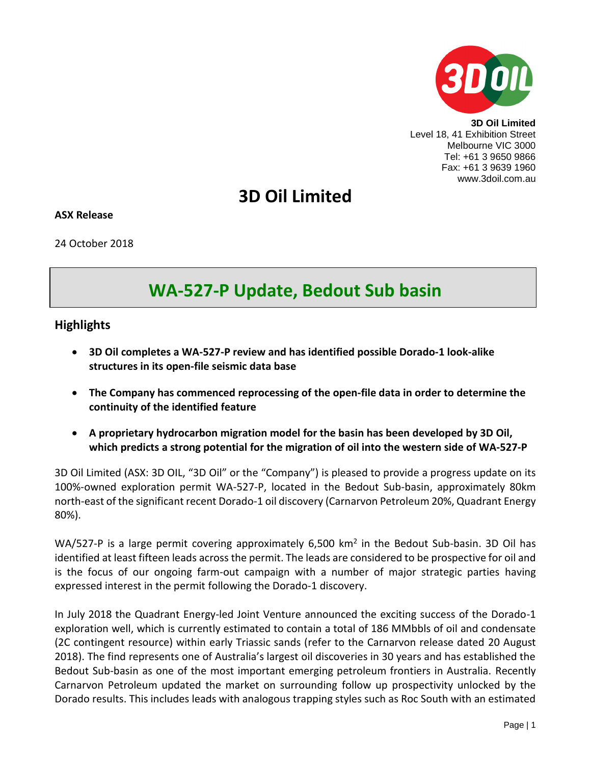

**3D Oil Limited** Level 18, 41 Exhibition Street Melbourne VIC 3000 Tel: +61 3 9650 9866 Fax: +61 3 9639 1960 www.3doil.com.au

# **3D Oil Limited**

### **ASX Release**

24 October 2018

# **WA-527-P Update, Bedout Sub basin**

# **Highlights**

- **3D Oil completes a WA-527-P review and has identified possible Dorado-1 look-alike structures in its open-file seismic data base**
- **The Company has commenced reprocessing of the open-file data in order to determine the continuity of the identified feature**
- **A proprietary hydrocarbon migration model for the basin has been developed by 3D Oil, which predicts a strong potential for the migration of oil into the western side of WA-527-P**

3D Oil Limited (ASX: 3D OIL, "3D Oil" or the "Company") is pleased to provide a progress update on its 100%-owned exploration permit WA-527-P, located in the Bedout Sub-basin, approximately 80km north-east of the significant recent Dorado-1 oil discovery (Carnarvon Petroleum 20%, Quadrant Energy 80%).

WA/527-P is a large permit covering approximately 6,500 km<sup>2</sup> in the Bedout Sub-basin. 3D Oil has identified at least fifteen leads across the permit. The leads are considered to be prospective for oil and is the focus of our ongoing farm-out campaign with a number of major strategic parties having expressed interest in the permit following the Dorado-1 discovery.

In July 2018 the Quadrant Energy-led Joint Venture announced the exciting success of the Dorado-1 exploration well, which is currently estimated to contain a total of 186 MMbbls of oil and condensate (2C contingent resource) within early Triassic sands (refer to the Carnarvon release dated 20 August 2018). The find represents one of Australia's largest oil discoveries in 30 years and has established the Bedout Sub-basin as one of the most important emerging petroleum frontiers in Australia. Recently Carnarvon Petroleum updated the market on surrounding follow up prospectivity unlocked by the Dorado results. This includes leads with analogous trapping styles such as Roc South with an estimated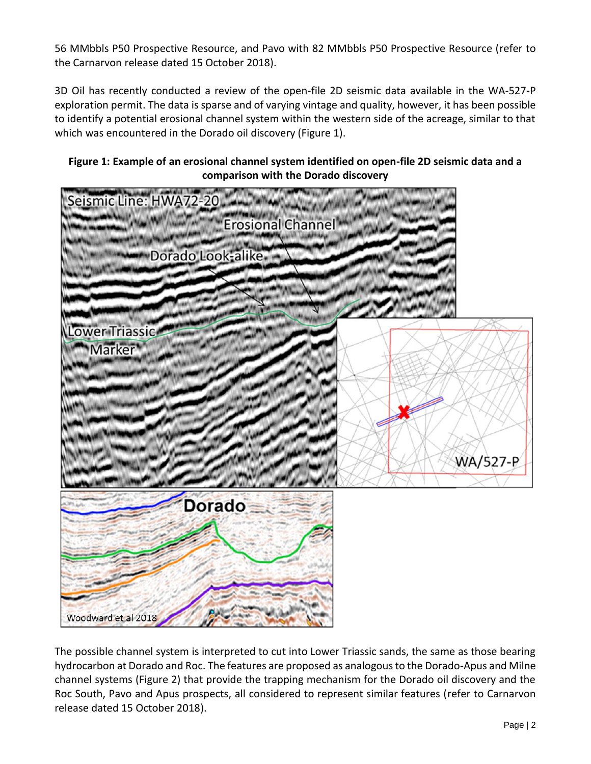56 MMbbls P50 Prospective Resource, and Pavo with 82 MMbbls P50 Prospective Resource (refer to the Carnarvon release dated 15 October 2018).

3D Oil has recently conducted a review of the open-file 2D seismic data available in the WA-527-P exploration permit. The data is sparse and of varying vintage and quality, however, it has been possible to identify a potential erosional channel system within the western side of the acreage, similar to that which was encountered in the Dorado oil discovery (Figure 1).

# **Figure 1: Example of an erosional channel system identified on open-file 2D seismic data and a comparison with the Dorado discovery**



The possible channel system is interpreted to cut into Lower Triassic sands, the same as those bearing hydrocarbon at Dorado and Roc. The features are proposed as analogous to the Dorado-Apus and Milne channel systems (Figure 2) that provide the trapping mechanism for the Dorado oil discovery and the Roc South, Pavo and Apus prospects, all considered to represent similar features (refer to Carnarvon release dated 15 October 2018).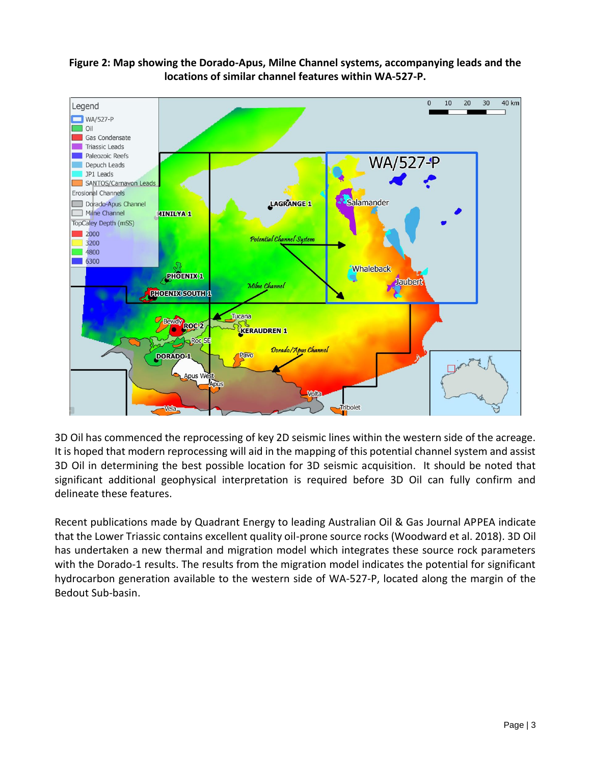# **Figure 2: Map showing the Dorado-Apus, Milne Channel systems, accompanying leads and the locations of similar channel features within WA-527-P.**



3D Oil has commenced the reprocessing of key 2D seismic lines within the western side of the acreage. It is hoped that modern reprocessing will aid in the mapping of this potential channel system and assist 3D Oil in determining the best possible location for 3D seismic acquisition. It should be noted that significant additional geophysical interpretation is required before 3D Oil can fully confirm and delineate these features.

Recent publications made by Quadrant Energy to leading Australian Oil & Gas Journal APPEA indicate that the Lower Triassic contains excellent quality oil-prone source rocks (Woodward et al. 2018). 3D Oil has undertaken a new thermal and migration model which integrates these source rock parameters with the Dorado-1 results. The results from the migration model indicates the potential for significant hydrocarbon generation available to the western side of WA-527-P, located along the margin of the Bedout Sub-basin.